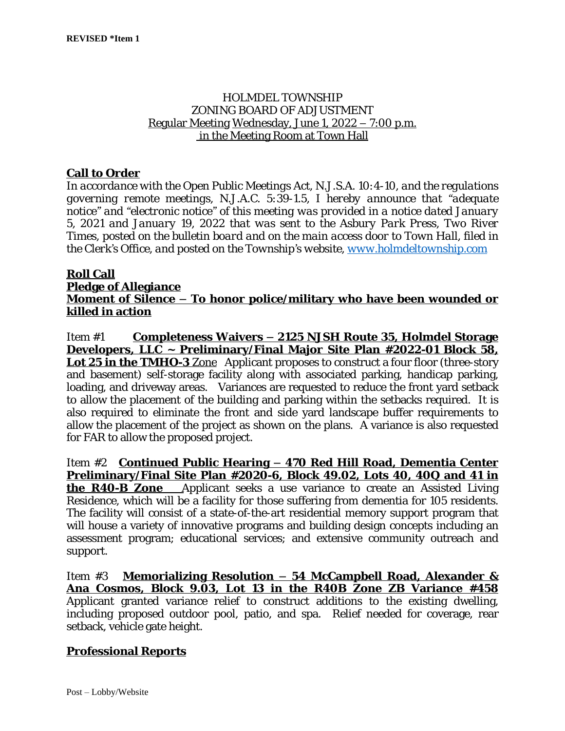## HOLMDEL TOWNSHIP ZONING BOARD OF ADJUSTMENT Regular Meeting Wednesday, June 1, 2022 – 7:00 p.m. in the Meeting Room at Town Hall

## **Call to Order**

*In accordance with the Open Public Meetings Act, N.J.S.A. 10:4-10, and the regulations governing remote meetings, N.J.A.C. 5:39-1.5, I hereby announce that "adequate notice" and "electronic notice" of this meeting was provided in a notice dated January 5, 2021 and January 19, 2022 that was sent to the Asbury Park Press, Two River Times, posted on the bulletin board and on the main access door to Town Hall, filed in the Clerk's Office, and posted on the Township's website, [www.holmdeltownship.com](http://www.holmdeltownship.com)*

#### **Roll Call**

#### **Pledge of Allegiance**

## **Moment of Silence – To honor police/military who have been wounded or killed in action**

Item #1 **Completeness Waivers – 2125 NJSH Route 35, Holmdel Storage Developers, LLC ~ Preliminary/Final Major Site Plan #2022-01 Block 58, Lot 25 in the TMHO-3** Zone Applicant proposes to construct a four floor (three-story and basement) self-storage facility along with associated parking, handicap parking, loading, and driveway areas. Variances are requested to reduce the front yard setback to allow the placement of the building and parking within the setbacks required. It is also required to eliminate the front and side yard landscape buffer requirements to allow the placement of the project as shown on the plans. A variance is also requested for FAR to allow the proposed project.

Item #2 **Continued Public Hearing – 470 Red Hill Road, Dementia Center Preliminary/Final Site Plan #2020-6, Block 49.02, Lots 40, 40Q and 41 in the R40-B Zone** Applicant seeks a use variance to create an Assisted Living Residence, which will be a facility for those suffering from dementia for 105 residents. The facility will consist of a state-of-the-art residential memory support program that will house a variety of innovative programs and building design concepts including an assessment program; educational services; and extensive community outreach and support.

Item #3 **Memorializing Resolution – 54 McCampbell Road, Alexander & Ana Cosmos, Block 9.03, Lot 13 in the R40B Zone ZB Variance #458** Applicant granted variance relief to construct additions to the existing dwelling, including proposed outdoor pool, patio, and spa. Relief needed for coverage, rear setback, vehicle gate height.

### **Professional Reports**